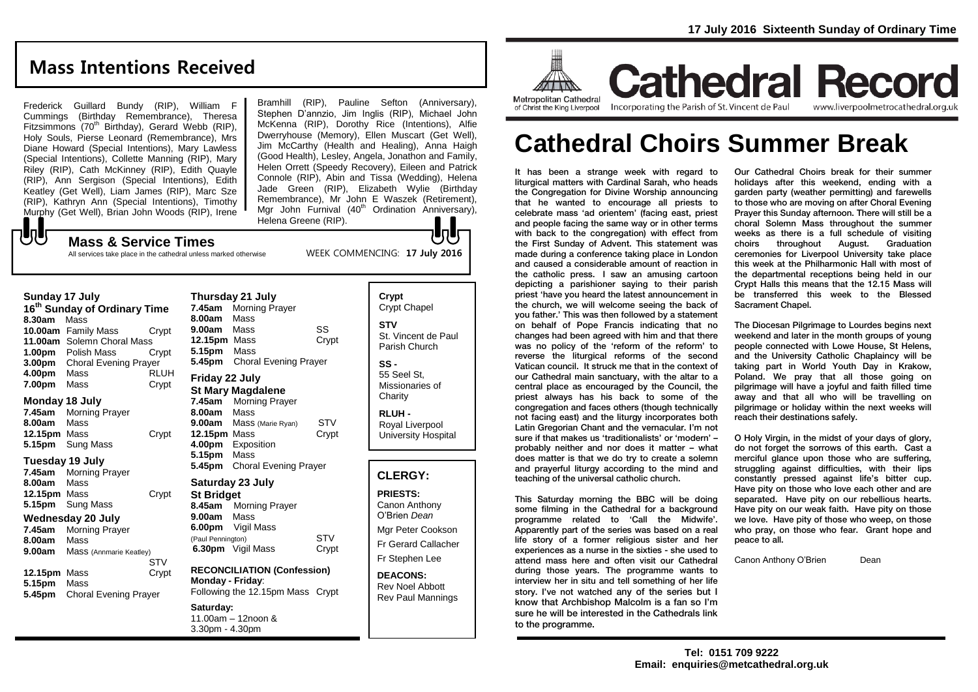## **Mass Intentions Received**

Frederick Guillard Bundy (RIP), William F Cummings (Birthday Remembrance), Theresa Fitzsimmons (70<sup>th</sup> Birthday), Gerard Webb (RIP), Holy Souls, Pierse Leonard (Remembrance), Mrs Diane Howard (Special Intentions), Mary Lawless (Special Intentions), Collette Manning (RIP), Mary Riley (RIP), Cath McKinney (RIP), Edith Quayle (RIP), Ann Sergison (Special Intentions), Edith Keatley (Get Well), Liam James (RIP), Marc Sze (RIP), Kathryn Ann (Special Intentions), Timothy Murphy (Get Well), Brian John Woods (RIP), Irene

**Mass & Service Times**

All services take place in the cathedral unless marked otherwise

Bramhill (RIP), Pauline Sefton (Anniversary), Stephen D'annzio, Jim Inglis (RIP), Michael John McKenna (RIP), Dorothy Rice (Intentions), Alfie Dwerryhouse (Memory), Ellen Muscart (Get Well), Jim McCarthy (Health and Healing), Anna Haigh (Good Health), Lesley, Angela, Jonathon and Family, Helen Orrett (Speedy Recovery), Eileen and Patrick Connole (RIP), Abin and Tissa (Wedding), Helena Jade Green (RIP), Elizabeth Wylie (Birthday Remembrance), Mr John E Waszek (Retirement), Mgr John Furnival  $(40<sup>th</sup>$  Ordination Anniversary), Helena Greene (RIP).

WEEK COMMENCING: **17 July 2016**

UJ

### **Sunday 17 July**

もし

**16th Sunday of Ordinary Time 8.30am** Mass **10.00am** Family Mass Crypt **11.00am** Solemn Choral Mass **1.00pm** Polish Mass Crypt **3.00pm** Choral Evening Prayer **4.00pm** Mass RLUH **7.00pm** Mass Crypt

#### **Monday 18 July**

**7.45am** Morning Prayer **8.00am** Mass **12.15pm** Mass Crypt **5.15pm** Sung Mass

#### **Tuesday 19 July**

**7.45am** Morning Prayer **8.00am** Mass **12.15pm** Mass Crypt **5.15pm** Sung Mass

#### **Wednesday 20 July**

**7.45am** Morning Prayer **8.00am** Mass **9.00am** Mass (Annmarie Keatley) **STV 12.15pm** Mass Crypt **5.15pm** Mass **5.45pm** Choral Evening Prayer

**7.45am** Morning Prayer **8.00am** Mass **9.00am** Mass SS 12.15pm Mass Crypt **5.15pm** Mass **5.45pm** Choral Evening Prayer **Friday 22 July St Mary Magdalene 7.45am** Morning Prayer **8.00am** Mass **9.00am** Mass (Marie Ryan) STV **12.15pm** Mass Crypt **4.00pm** Exposition **5.15pm** Mass **5.45pm** Choral Evening Prayer **Saturday 23 July St Bridget**

**Thursday 21 July**

#### **8.45am** Morning Prayer **9.00am** Mass **6.00pm** Vigil Mass (Paul Pennington) STV **6.30pm** Vigil Mass Crypt

**RECONCILIATION (Confession) Monday - Friday**: Following the 12.15pm Mass Crypt

#### **Saturday:**

11.00am – 12noon & 3.30pm - 4.30pm

| <b>CLERGY:</b>                                     |
|----------------------------------------------------|
|                                                    |
| RLUH -<br>Royal Liverpool<br>University Hospital   |
| SS -<br>55 Seel St.<br>Missionaries of<br>Charity  |
| <b>STV</b><br>St. Vincent de Paul<br>Parish Church |
| Crypt<br><b>Crypt Chapel</b>                       |

**PRIESTS:** Canon Anthony O'Brien *Dean* Mgr Peter Cookson Fr Gerard Callacher Fr Stephen Lee

**DEACONS:** Rev Noel Abbott Rev Paul Mannings



# **Cathedral Choirs Summer Break**

It has been a strange week with regard to liturgical matters with Cardinal Sarah, who heads the Congregation for Divine Worship announcing that he wanted to encourage all priests to celebrate mass 'ad orientem' (facing east, priest and people facing the same way or in other terms with back to the congregation) with effect from the First Sunday of Advent. This statement was made during a conference taking place in London and caused a considerable amount of reaction in the catholic press. I saw an amusing cartoon depicting a parishioner saying to their parish priest 'have you heard the latest announcement in the church, we will welcome seeing the back of you father.' This was then followed by a statement on behalf of Pope Francis indicating that no changes had been agreed with him and that there was no policy of the 'reform of the reform' to reverse the liturgical reforms of the second Vatican council. It struck me that in the context of our Cathedral main sanctuary, with the altar to a central place as encouraged by the Council, the priest always has his back to some of the congregation and faces others (though technically not facing east) and the liturgy incorporates both Latin Gregorian Chant and the vernacular. I'm not sure if that makes us 'traditionalists' or 'modern' – probably neither and nor does it matter – what does matter is that we do try to create a solemn and prayerful liturgy according to the mind and teaching of the universal catholic church.

This Saturday morning the BBC will be doing some filming in the Cathedral for a background programme related to 'Call the Midwife'. Apparently part of the series was based on a real life story of a former religious sister and her experiences as a nurse in the sixties - she used to attend mass here and often visit our Cathedral during those years. The programme wants to interview her in situ and tell something of her life story. I've not watched any of the series but I know that Archbishop Malcolm is a fan so I'm sure he will be interested in the Cathedrals link to the programme.

Our Cathedral Choirs break for their summer holidays after this weekend, ending with a garden party (weather permitting) and farewells to those who are moving on after Choral Evening Prayer this Sunday afternoon. There will still be a choral Solemn Mass throughout the summer weeks as there is a full schedule of visiting choirs throughout August. Graduation ceremonies for Liverpool University take place this week at the Philharmonic Hall with most of the departmental receptions being held in our Crypt Halls this means that the 12.15 Mass will be transferred this week to the Blessed Sacrament Chapel.

The Diocesan Pilgrimage to Lourdes begins next weekend and later in the month groups of young people connected with Lowe House, St Helens, and the University Catholic Chaplaincy will be taking part in World Youth Day in Krakow, Poland. We pray that all those going on pilgrimage will have a joyful and faith filled time away and that all who will be travelling on pilgrimage or holiday within the next weeks will reach their destinations safely.

O Holy Virgin, in the midst of your days of glory, do not forget the sorrows of this earth. Cast a merciful glance upon those who are suffering, struggling against difficulties, with their lips constantly pressed against life's bitter cup. Have pity on those who love each other and are separated. Have pity on our rebellious hearts. Have pity on our weak faith. Have pity on those we love. Have pity of those who weep, on those who pray, on those who fear. Grant hope and peace to all.

Canon Anthony O'Brien Dean